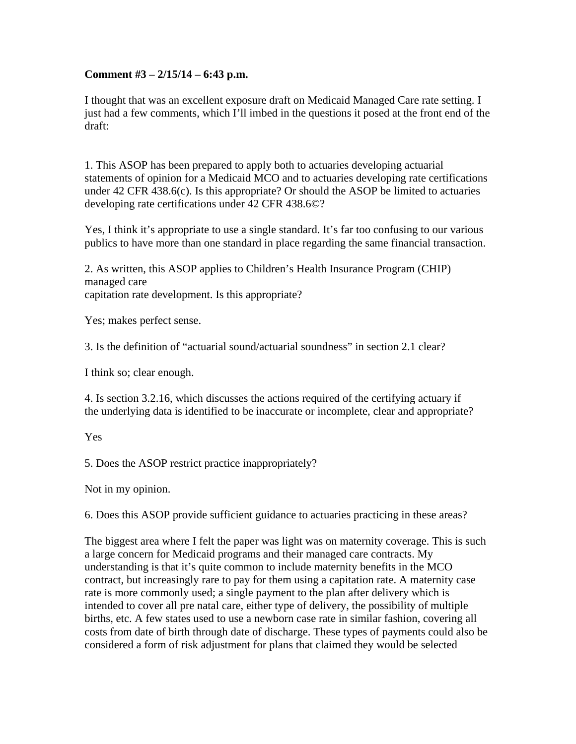## **Comment #3 – 2/15/14 – 6:43 p.m.**

I thought that was an excellent exposure draft on Medicaid Managed Care rate setting. I just had a few comments, which I'll imbed in the questions it posed at the front end of the draft:

1. This ASOP has been prepared to apply both to actuaries developing actuarial statements of opinion for a Medicaid MCO and to actuaries developing rate certifications under 42 CFR 438.6(c). Is this appropriate? Or should the ASOP be limited to actuaries developing rate certifications under 42 CFR 438.6©?

Yes, I think it's appropriate to use a single standard. It's far too confusing to our various publics to have more than one standard in place regarding the same financial transaction.

2. As written, this ASOP applies to Children's Health Insurance Program (CHIP) managed care capitation rate development. Is this appropriate?

Yes; makes perfect sense.

3. Is the definition of "actuarial sound/actuarial soundness" in section 2.1 clear?

I think so; clear enough.

4. Is section 3.2.16, which discusses the actions required of the certifying actuary if the underlying data is identified to be inaccurate or incomplete, clear and appropriate?

## Yes

5. Does the ASOP restrict practice inappropriately?

Not in my opinion.

6. Does this ASOP provide sufficient guidance to actuaries practicing in these areas?

The biggest area where I felt the paper was light was on maternity coverage. This is such a large concern for Medicaid programs and their managed care contracts. My understanding is that it's quite common to include maternity benefits in the MCO contract, but increasingly rare to pay for them using a capitation rate. A maternity case rate is more commonly used; a single payment to the plan after delivery which is intended to cover all pre natal care, either type of delivery, the possibility of multiple births, etc. A few states used to use a newborn case rate in similar fashion, covering all costs from date of birth through date of discharge. These types of payments could also be considered a form of risk adjustment for plans that claimed they would be selected